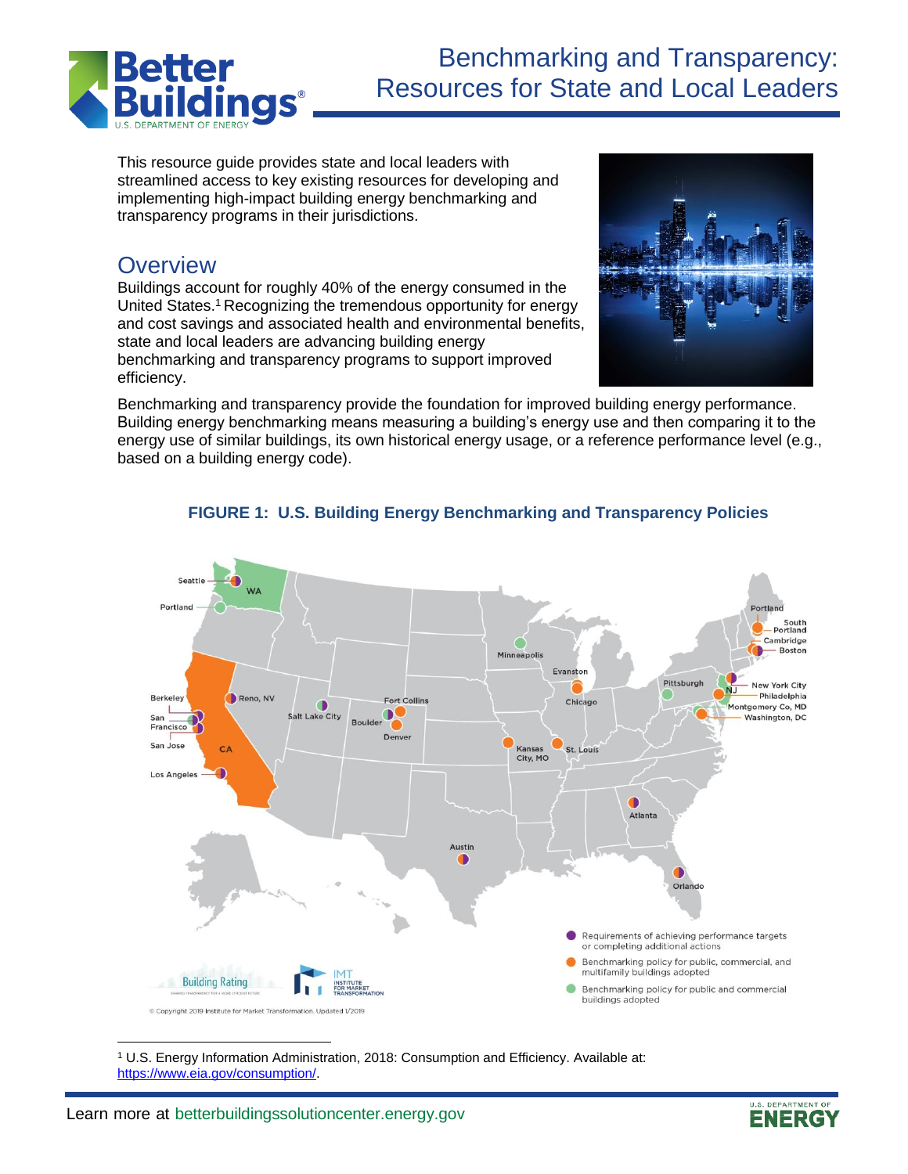

This resource guide provides state and local leaders with streamlined access to key existing resources for developing and implementing high-impact building energy benchmarking and transparency programs in their jurisdictions.

# **Overview**

Buildings account for roughly 40% of the energy consumed in the United States.<sup>1</sup> Recognizing the tremendous opportunity for energy and cost savings and associated health and environmental benefits, state and local leaders are advancing building energy benchmarking and transparency programs to support improved efficiency.



Benchmarking and transparency provide the foundation for improved building energy performance. Building energy benchmarking means measuring a building's energy use and then comparing it to the energy use of similar buildings, its own historical energy usage, or a reference performance level (e.g., based on a building energy code).



### **FIGURE 1: U.S. Building Energy Benchmarking and Transparency Policies**

<sup>1</sup> U.S. Energy Information Administration, 2018: Consumption and Efficiency. Available at: [https://www.eia.gov/consumption/.](https://www.eia.gov/consumption/)

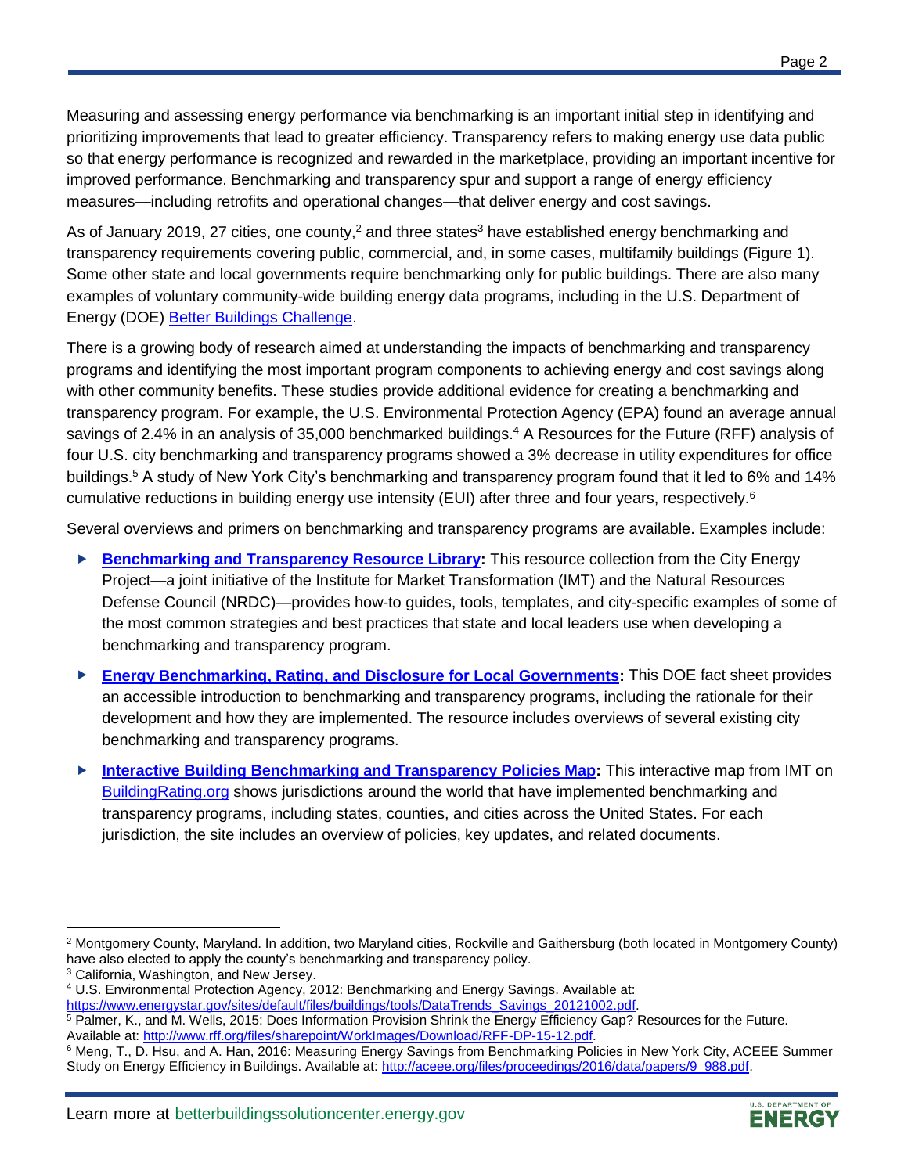Measuring and assessing energy performance via benchmarking is an important initial step in identifying and prioritizing improvements that lead to greater efficiency. Transparency refers to making energy use data public so that energy performance is recognized and rewarded in the marketplace, providing an important incentive for improved performance. Benchmarking and transparency spur and support a range of energy efficiency measures—including retrofits and operational changes—that deliver energy and cost savings.

As of January 2019, 27 cities, one county,<sup>2</sup> and three states<sup>3</sup> have established energy benchmarking and transparency requirements covering public, commercial, and, in some cases, multifamily buildings (Figure 1). Some other state and local governments require benchmarking only for public buildings. There are also many examples of voluntary community-wide building energy data programs, including in the U.S. Department of Energy (DOE) [Better Buildings Challenge.](https://betterbuildingsinitiative.energy.gov/challenge)

There is a growing body of research aimed at understanding the impacts of benchmarking and transparency programs and identifying the most important program components to achieving energy and cost savings along with other community benefits. These studies provide additional evidence for creating a benchmarking and transparency program. For example, the U.S. Environmental Protection Agency (EPA) found an average annual savings of 2.4% in an analysis of 35,000 benchmarked buildings.<sup>4</sup> A Resources for the Future (RFF) analysis of four U.S. city benchmarking and transparency programs showed a 3% decrease in utility expenditures for office buildings.<sup>5</sup> A study of New York City's benchmarking and transparency program found that it led to 6% and 14% cumulative reductions in building energy use intensity (EUI) after three and four years, respectively.<sup>6</sup>

Several overviews and primers on benchmarking and transparency programs are available. Examples include:

- ▶ **Benchmarking [and Transparency Resource Library:](http://www.cityenergyproject.org/)** This resource collection from the City Energy Project—a joint initiative of the Institute for Market Transformation (IMT) and the Natural Resources Defense Council (NRDC)—provides how-to guides, tools, templates, and city-specific examples of some of the most common strategies and best practices that state and local leaders use when developing a benchmarking and transparency program.
- **[Energy Benchmarking, Rating, and Disclosure for Local Governments:](https://www.energy.gov/eere/slsc/downloads/energy-benchmarking-rating-and-disclosure-state-governments)** This DOE fact sheet provides an accessible introduction to benchmarking and transparency programs, including the rationale for their development and how they are implemented. The resource includes overviews of several existing city benchmarking and transparency programs.
- **[Interactive Building Benchmarking and Transparency Policies Map:](https://www.buildingrating.org/jurisdictions)** This interactive map from IMT on [BuildingRating.org](https://buildingrating.org/) shows jurisdictions around the world that have implemented benchmarking and transparency programs, including states, counties, and cities across the United States. For each jurisdiction, the site includes an overview of policies, key updates, and related documents.

 $\overline{\phantom{a}}$ 



<sup>2</sup> Montgomery County, Maryland. In addition, two Maryland cities, Rockville and Gaithersburg (both located in Montgomery County) have also elected to apply the county's benchmarking and transparency policy.

<sup>&</sup>lt;sup>3</sup> California, Washington, and New Jersey.

<sup>4</sup> U.S. Environmental Protection Agency, 2012: Benchmarking and Energy Savings. Available at: [https://www.energystar.gov/sites/default/files/buildings/tools/DataTrends\\_Savings\\_20121002.pdf.](https://www.energystar.gov/sites/default/files/buildings/tools/DataTrends_Savings_20121002.pdf)

<sup>&</sup>lt;sup>5</sup> Palmer, K., and M. Wells, 2015: Does Information Provision Shrink the Energy Efficiency Gap? Resources for the Future. Available at[: http://www.rff.org/files/sharepoint/WorkImages/Download/RFF-DP-15-12.pdf.](http://www.rff.org/files/sharepoint/WorkImages/Download/RFF-DP-15-12.pdf)

<sup>&</sup>lt;sup>6</sup> Meng, T., D. Hsu, and A. Han, 2016: Measuring Energy Savings from Benchmarking Policies in New York City, ACEEE Summer Study on Energy Efficiency in Buildings. Available at[: http://aceee.org/files/proceedings/2016/data/papers/9\\_988.pdf.](http://aceee.org/files/proceedings/2016/data/papers/9_988.pdf)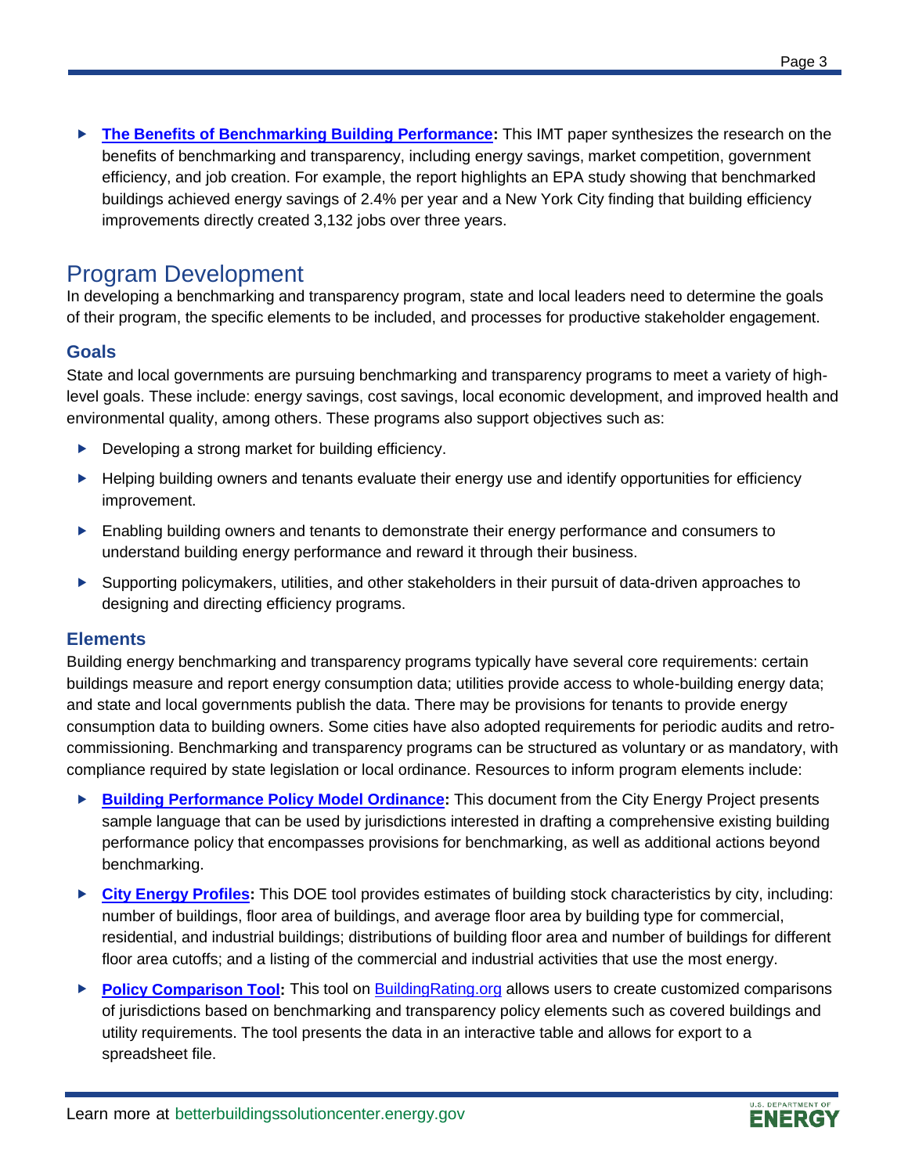**[The Benefits of Benchmarking Building Performance:](https://www.energy.gov/eere/slsc/downloads/benefits-benchmarking-building-performance)** This IMT paper synthesizes the research on the benefits of benchmarking and transparency, including energy savings, market competition, government efficiency, and job creation. For example, the report highlights an EPA study showing that benchmarked buildings achieved energy savings of 2.4% per year and a New York City finding that building efficiency improvements directly created 3,132 jobs over three years.

## Program Development

In developing a benchmarking and transparency program, state and local leaders need to determine the goals of their program, the specific elements to be included, and processes for productive stakeholder engagement.

### **Goals**

State and local governments are pursuing benchmarking and transparency programs to meet a variety of highlevel goals. These include: energy savings, cost savings, local economic development, and improved health and environmental quality, among others. These programs also support objectives such as:

- Developing a strong market for building efficiency.
- ▶ Helping building owners and tenants evaluate their energy use and identify opportunities for efficiency improvement.
- **Enabling building owners and tenants to demonstrate their energy performance and consumers to** understand building energy performance and reward it through their business.
- ▶ Supporting policymakers, utilities, and other stakeholders in their pursuit of data-driven approaches to designing and directing efficiency programs.

### **Elements**

Building energy benchmarking and transparency programs typically have several core requirements: certain buildings measure and report energy consumption data; utilities provide access to whole-building energy data; and state and local governments publish the data. There may be provisions for tenants to provide energy consumption data to building owners. Some cities have also adopted requirements for periodic audits and retrocommissioning. Benchmarking and transparency programs can be structured as voluntary or as mandatory, with compliance required by state legislation or local ordinance. Resources to inform program elements include:

- **[Building Performance Policy Model Ordinance:](https://www.energy.gov/eere/slsc/downloads/annotated-model-ordinance-language-improving-performance-existing-buildings)** This document from the City Energy Project presents sample language that can be used by jurisdictions interested in drafting a comprehensive existing building performance policy that encompasses provisions for benchmarking, as well as additional actions beyond benchmarking.
- **[City Energy Profiles:](https://apps1.eere.energy.gov/sled/#/)** This DOE tool provides estimates of building stock characteristics by city, including: number of buildings, floor area of buildings, and average floor area by building type for commercial, residential, and industrial buildings; distributions of building floor area and number of buildings for different floor area cutoffs; and a listing of the commercial and industrial activities that use the most energy.
- **[Policy Comparison Tool:](https://www.buildingrating.org/policy-comparison-tool)** This tool on [BuildingRating.org](https://www.buildingrating.org/) allows users to create customized comparisons of jurisdictions based on benchmarking and transparency policy elements such as covered buildings and utility requirements. The tool presents the data in an interactive table and allows for export to a spreadsheet file.

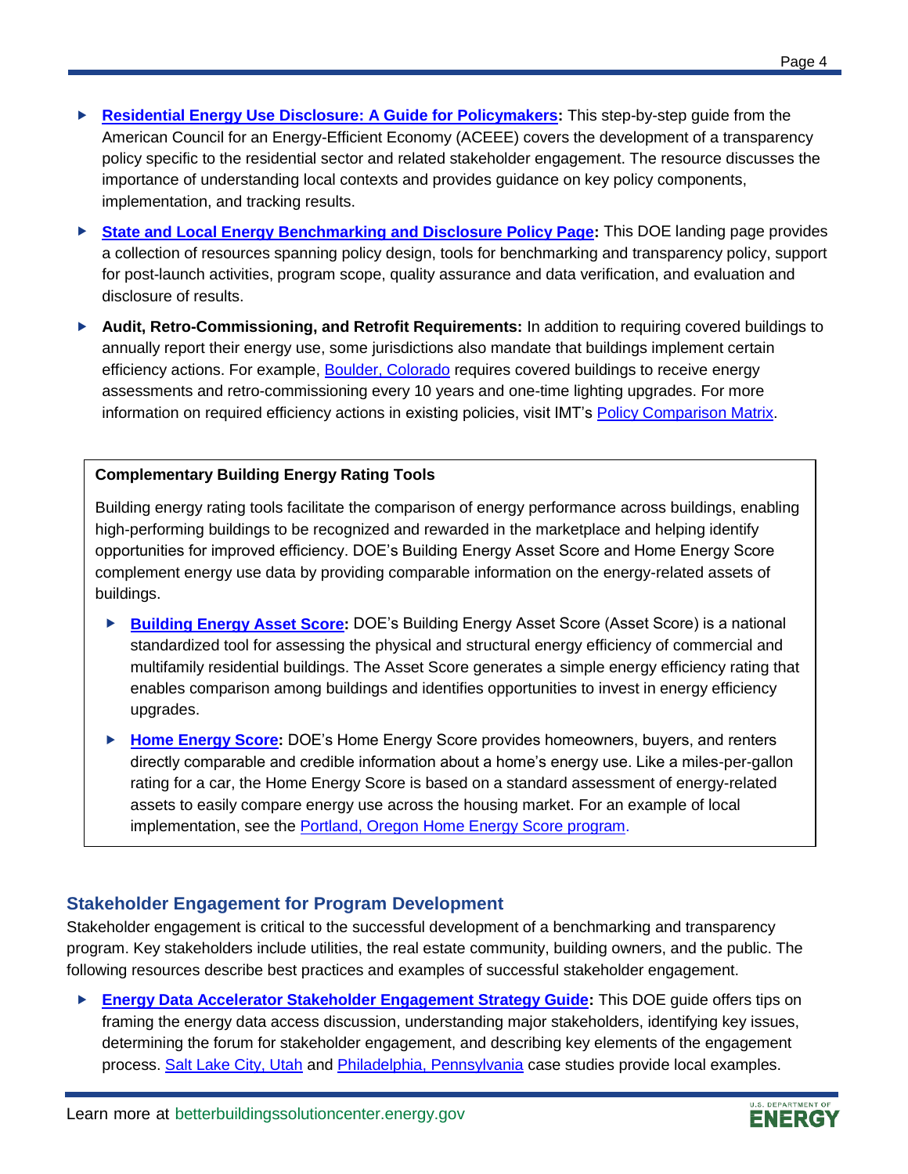- **[Residential Energy Use Disclosure: A Guide for Policymakers:](https://www.energy.gov/eere/slsc/downloads/residential-energy-use-disclosure-guide-policymakers)** This step-by-step guide from the American Council for an Energy-Efficient Economy (ACEEE) covers the development of a transparency policy specific to the residential sector and related stakeholder engagement. The resource discusses the importance of understanding local contexts and provides guidance on key policy components, implementation, and tracking results.
- ▶ [State and Local Energy Benchmarking and Disclosure Policy Page:](https://energy.gov/eere/slsc/state-and-local-energy-benchmarking-and-disclosure-policy) This DOE landing page provides a collection of resources spanning policy design, tools for benchmarking and transparency policy, support for post-launch activities, program scope, quality assurance and data verification, and evaluation and disclosure of results.
- ▶ **Audit, Retro-Commissioning, and Retrofit Requirements:** In addition to requiring covered buildings to annually report their energy use, some jurisdictions also mandate that buildings implement certain efficiency actions. For example[, Boulder, Colorado](https://bouldercolorado.gov/sustainability/boulder-building-performance-home) requires covered buildings to receive energy assessments and retro-commissioning every 10 years and one-time lighting upgrades. For more information on required efficiency actions in existing policies, visit IMT's [Policy Comparison Matrix.](https://www.buildingrating.org/graphic/us-commercial-building-policy-comparison-matrix)

#### **Complementary Building Energy Rating Tools**

Building energy rating tools facilitate the comparison of energy performance across buildings, enabling high-performing buildings to be recognized and rewarded in the marketplace and helping identify opportunities for improved efficiency. DOE's Building Energy Asset Score and Home Energy Score complement energy use data by providing comparable information on the energy-related assets of buildings.

- ▶ [Building Energy Asset Score:](https://www.energy.gov/eere/buildings/building-energy-asset-score) DOE's Building Energy Asset Score (Asset Score) is a national standardized tool for assessing the physical and structural energy efficiency of commercial and multifamily residential buildings. The Asset Score generates a simple energy efficiency rating that enables comparison among buildings and identifies opportunities to invest in energy efficiency upgrades.
- **[Home Energy Score:](https://betterbuildingssolutioncenter.energy.gov/home-energy-score)** DOE's Home Energy Score provides homeowners, buyers, and renters directly comparable and credible information about a home's energy use. Like a miles-per-gallon rating for a car, the Home Energy Score is based on a standard assessment of energy-related assets to easily compare energy use across the housing market. For an example of local implementation, see the [Portland, Oregon Home Energy Score program.](https://www.portlandoregon.gov/bps/71421)

### **Stakeholder Engagement for Program Development**

Stakeholder engagement is critical to the successful development of a benchmarking and transparency program. Key stakeholders include utilities, the real estate community, building owners, and the public. The following resources describe best practices and examples of successful stakeholder engagement.

 **[Energy Data Accelerator Stakeholder Engagement Strategy Guide:](https://betterbuildingssolutioncenter.energy.gov/sites/default/files/attachments/Stakeholder%20Engagement%20Strategy%20Guide.pdf)** This DOE guide offers tips on framing the energy data access discussion, understanding major stakeholders, identifying key issues, determining the forum for stakeholder engagement, and describing key elements of the engagement process. [Salt Lake City, Utah](https://betterbuildingssolutioncenter.energy.gov/sites/default/files/attachments/Stakeholder%20Engagement%20Case%20Study%20-%20Salt%20Lake%20City.pdf) and [Philadelphia, Pennsylvania](https://betterbuildingssolutioncenter.energy.gov/sites/default/files/attachments/Stakeholder%20Engagement%20Case%20Study%20-%20Philadelphia.pdf) case studies provide local examples.

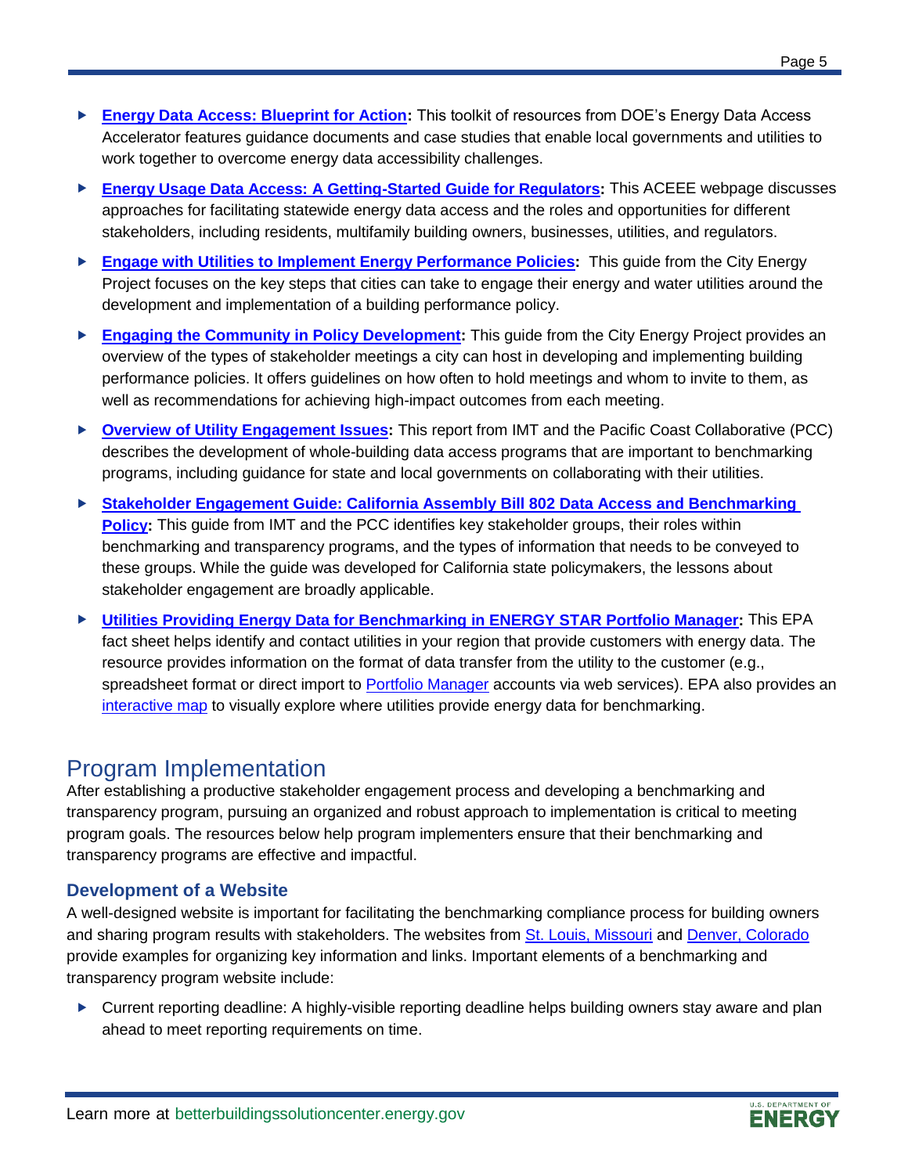- ► **[Energy Data Access: Blueprint for Action:](https://betterbuildingssolutioncenter.energy.gov/toolkits/energy-data-access-blueprint-action)** This toolkit of resources from DOE's Energy Data Access Accelerator features guidance documents and case studies that enable local governments and utilities to work together to overcome energy data accessibility challenges.
- **[Energy Usage Data Access: A Getting-Started Guide for Regulators:](http://aceee.org/sector/state-policy/toolkit/data-access)** This ACEEE webpage discusses approaches for facilitating statewide energy data access and the roles and opportunities for different stakeholders, including residents, multifamily building owners, businesses, utilities, and regulators.
- ► [Engage with Utilities to Implement Energy Performance Policies:](https://www.energy.gov/eere/slsc/downloads/engage-utilities-implement-energy-performance-policies) This guide from the City Energy Project focuses on the key steps that cities can take to engage their energy and water utilities around the development and implementation of a building performance policy.
- **[Engaging the Community in Policy Development:](https://www.energy.gov/eere/slsc/downloads/engaging-community-policy-development)** This guide from the City Energy Project provides an overview of the types of stakeholder meetings a city can host in developing and implementing building performance policies. It offers guidelines on how often to hold meetings and whom to invite to them, as well as recommendations for achieving high-impact outcomes from each meeting.
- ▶ **[Overview of Utility Engagement Issues:](https://www.energy.gov/eere/slsc/downloads/stakeholder-engagement-guide-california-assembly-bill-802-data-access-and)** This report from IMT and the Pacific Coast Collaborative (PCC) describes the development of whole-building data access programs that are important to benchmarking programs, including guidance for state and local governments on collaborating with their utilities.
- ► Stakeholder Engagement Guide: California Assembly Bill 802 Data Access and Benchmarking **[Policy:](https://www.energy.gov/eere/slsc/downloads/stakeholder-engagement-guide-california-assembly-bill-802-data-access-and)** This guide from IMT and the PCC identifies key stakeholder groups, their roles within benchmarking and transparency programs, and the types of information that needs to be conveyed to these groups. While the guide was developed for California state policymakers, the lessons about stakeholder engagement are broadly applicable.
- **[Utilities Providing Energy Data for Benchmarking in ENERGY STAR Portfolio Manager:](https://www.energystar.gov/buildings/tools-and-resources/utilities_increase_access_energy_data_help_commercial_customers_benchmark)** This EPA fact sheet helps identify and contact utilities in your region that provide customers with energy data. The resource provides information on the format of data transfer from the utility to the customer (e.g., spreadsheet format or direct import to [Portfolio Manager](https://www.energystar.gov/buildings/facility-owners-and-managers/existing-buildings/use-portfolio-manager) accounts via web services). EPA also provides an [interactive map](https://www.energystar.gov/buildings/owners_and_managers/existing_buildings/use_portfolio_manager/find_utilities_provide_data_benchmarking) to visually explore where utilities provide energy data for benchmarking.

# Program Implementation

After establishing a productive stakeholder engagement process and developing a benchmarking and transparency program, pursuing an organized and robust approach to implementation is critical to meeting program goals. The resources below help program implementers ensure that their benchmarking and transparency programs are effective and impactful.

## **Development of a Website**

A well-designed website is important for facilitating the benchmarking compliance process for building owners and sharing program results with stakeholders. The websites from [St. Louis, Missouri](https://www.stlbenchmarking.com/) and Denver, [Colorado](https://www.denvergov.org/content/denvergov/en/environmental-health/environmental-quality/Energize-Denver/CommercialMultifamilyBuildingBenchmarking.html) provide examples for organizing key information and links. Important elements of a benchmarking and transparency program website include:

► Current reporting deadline: A highly-visible reporting deadline helps building owners stay aware and plan ahead to meet reporting requirements on time.

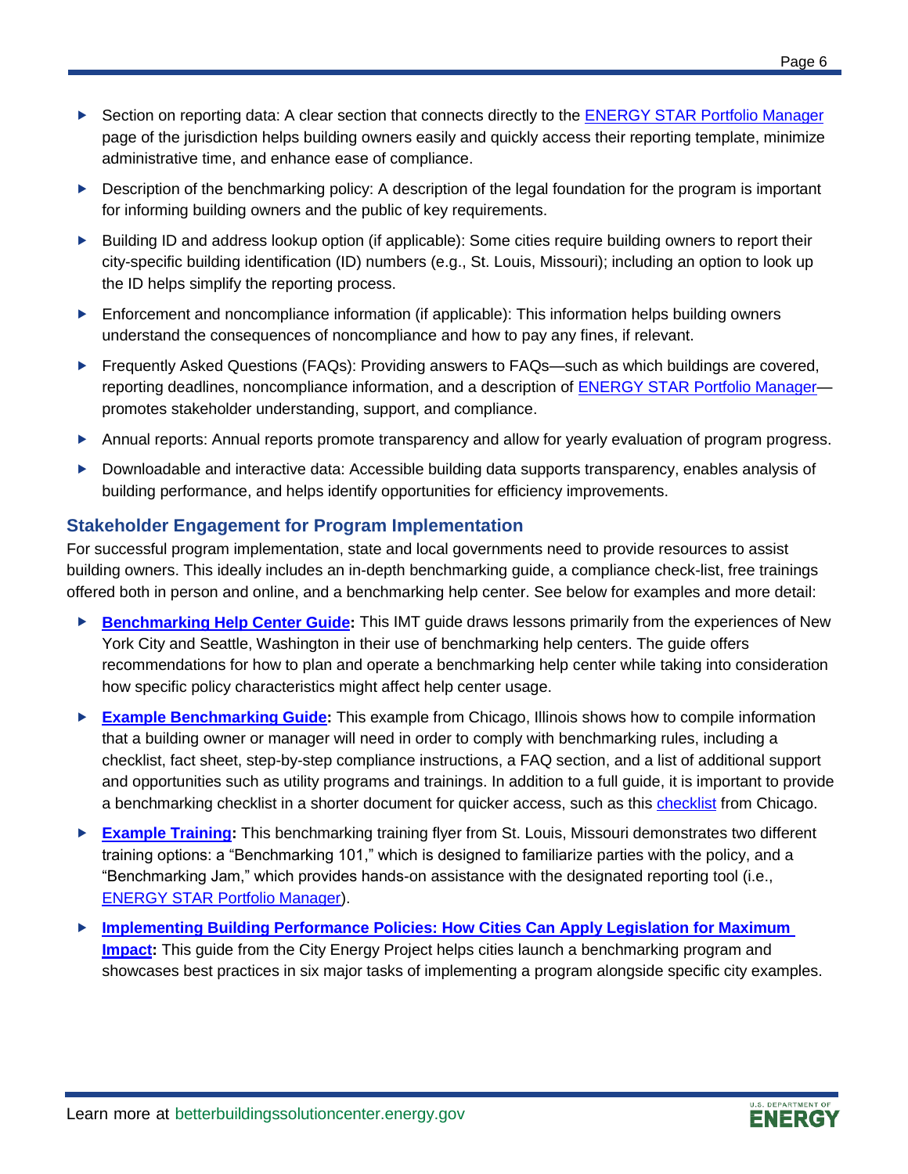- ▶ Section on reporting data: A clear section that connects directly to the [ENERGY STAR Portfolio Manager](https://www.energystar.gov/buildings/facility-owners-and-managers/existing-buildings/use-portfolio-manager) page of the jurisdiction helps building owners easily and quickly access their reporting template, minimize administrative time, and enhance ease of compliance.
- **Description of the benchmarking policy:** A description of the legal foundation for the program is important for informing building owners and the public of key requirements.
- ► Building ID and address lookup option (if applicable): Some cities require building owners to report their city-specific building identification (ID) numbers (e.g., St. Louis, Missouri); including an option to look up the ID helps simplify the reporting process.
- $\blacktriangleright$  Enforcement and noncompliance information (if applicable): This information helps building owners understand the consequences of noncompliance and how to pay any fines, if relevant.
- ▶ Frequently Asked Questions (FAQs): Providing answers to FAQs—such as which buildings are covered, reporting deadlines, noncompliance information, and a description of ENERGY STAR Portfolio Managerpromotes stakeholder understanding, support, and compliance.
- Annual reports: Annual reports promote transparency and allow for yearly evaluation of program progress.
- Downloadable and interactive data: Accessible building data supports transparency, enables analysis of building performance, and helps identify opportunities for efficiency improvements.

### **Stakeholder Engagement for Program Implementation**

For successful program implementation, state and local governments need to provide resources to assist building owners. This ideally includes an in-depth benchmarking guide, a compliance check-list, free trainings offered both in person and online, and a benchmarking help center. See below for examples and more detail:

- **[Benchmarking Help Center Guide:](https://www.energy.gov/eere/slsc/downloads/benchmarking-help-center-guide)** This IMT guide draws lessons primarily from the experiences of New York City and Seattle, Washington in their use of benchmarking help centers. The guide offers recommendations for how to plan and operate a benchmarking help center while taking into consideration how specific policy characteristics might affect help center usage.
- **[Example Benchmarking Guide:](https://www.energy.gov/eere/slsc/downloads/chicago-energy-benchmarking-guide)** This example from Chicago, Illinois shows how to compile information that a building owner or manager will need in order to comply with benchmarking rules, including a checklist, fact sheet, step-by-step compliance instructions, a FAQ section, and a list of additional support and opportunities such as utility programs and trainings. In addition to a full guide, it is important to provide a benchmarking [checklist](https://www.energy.gov/eere/slsc/downloads/chicago-energy-benchmarking-compliance-checklist) in a shorter document for quicker access, such as this checklist from Chicago.
- **[Example Training:](https://www.energy.gov/eere/slsc/downloads/2018-st-louis-missouri-benchmarking-training-flyer)** This benchmarking training flyer from St. Louis, Missouri demonstrates two different training options: a "Benchmarking 101," which is designed to familiarize parties with the policy, and a "Benchmarking Jam," which provides hands-on assistance with the designated reporting tool (i.e., [ENERGY STAR Portfolio Manager\)](https://www.energystar.gov/buildings/facility-owners-and-managers/existing-buildings/use-portfolio-manager).
- **Implementing Building Performance Policies: How Cities Can Apply Legislation for Maximum [Impact:](https://www.energy.gov/eere/slsc/downloads/implementing-building-performance-policies-how-cities-can-apply-legislation)** This guide from the City Energy Project helps cities launch a benchmarking program and showcases best practices in six major tasks of implementing a program alongside specific city examples.

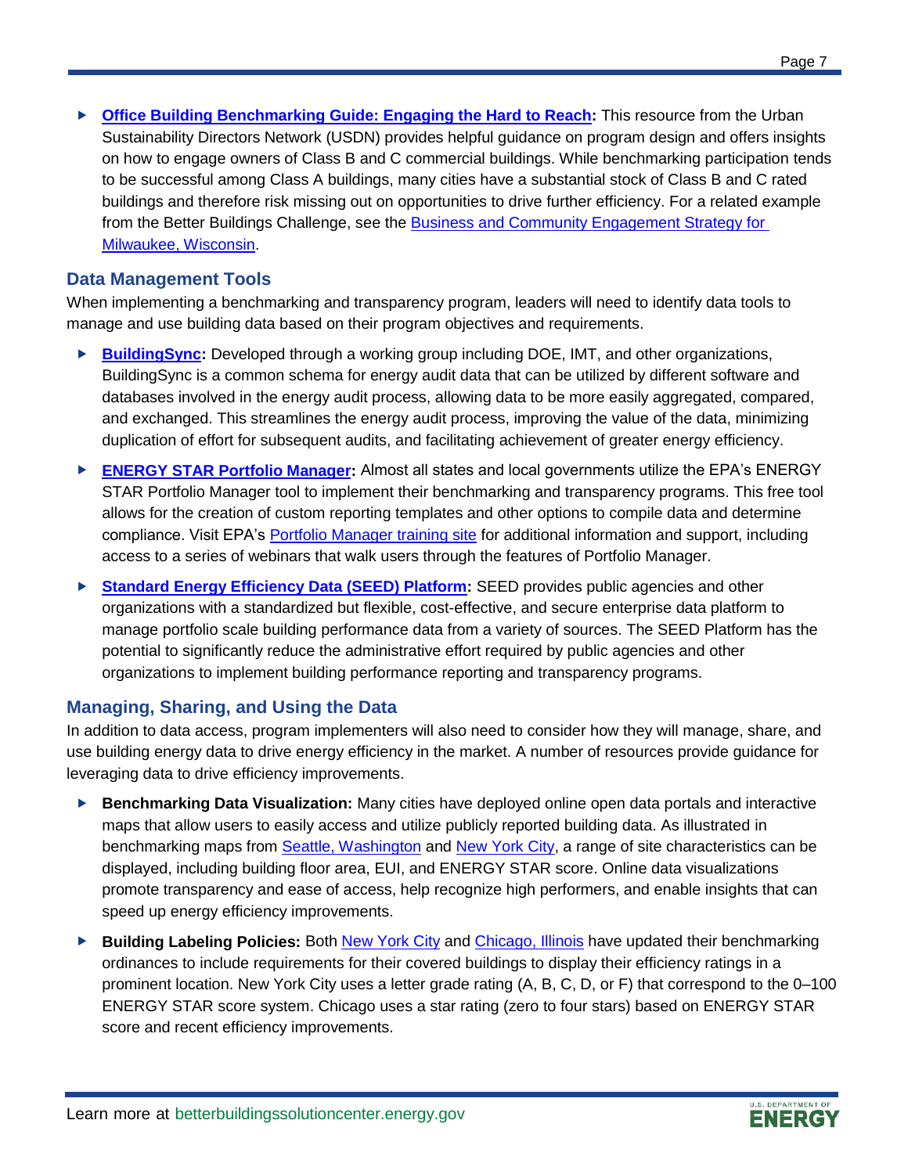**[Office Building Benchmarking Guide: Engaging the Hard to Reach:](https://www.energy.gov/eere/slsc/downloads/office-building-benchmarking-guide-engaging-hard-reach)** This resource from the Urban Sustainability Directors Network (USDN) provides helpful guidance on program design and offers insights on how to engage owners of Class B and C commercial buildings. While benchmarking participation tends to be successful among Class A buildings, many cities have a substantial stock of Class B and C rated buildings and therefore risk missing out on opportunities to drive further efficiency. For a related example from the Better Buildings Challenge, see the [Business and Community Engagement Strategy for](https://betterbuildingssolutioncenter.energy.gov/solutions-at-a-glance/milwaukee-business-and-community-engagement-strategy)  [Milwaukee, Wisconsin.](https://betterbuildingssolutioncenter.energy.gov/solutions-at-a-glance/milwaukee-business-and-community-engagement-strategy)

### **Data Management Tools**

When implementing a benchmarking and transparency program, leaders will need to identify data tools to manage and use building data based on their program objectives and requirements.

- ► [BuildingSync:](https://buildingsync.net/) Developed through a working group including DOE, IMT, and other organizations, BuildingSync is a common schema for energy audit data that can be utilized by different software and databases involved in the energy audit process, allowing data to be more easily aggregated, compared, and exchanged. This streamlines the energy audit process, improving the value of the data, minimizing duplication of effort for subsequent audits, and facilitating achievement of greater energy efficiency.
- **[ENERGY STAR Portfolio Manager:](https://www.energystar.gov/buildings/facility-owners-and-managers/existing-buildings/use-portfolio-manager)** Almost all states and local governments utilize the EPA's ENERGY STAR Portfolio Manager tool to implement their benchmarking and transparency programs. This free tool allows for the creation of custom reporting templates and other options to compile data and determine compliance. Visit EPA's [Portfolio Manager training site](https://www.energystar.gov/buildings/training/training) for additional information and support, including access to a series of webinars that walk users through the features of Portfolio Manager.
- **[Standard Energy Efficiency Data \(SEED\) Platform:](https://www.energy.gov/eere/buildings/standard-energy-efficiency-data-platform)** SEED provides public agencies and other organizations with a standardized but flexible, cost-effective, and secure enterprise data platform to manage portfolio scale building performance data from a variety of sources. The SEED Platform has the potential to significantly reduce the administrative effort required by public agencies and other organizations to implement building performance reporting and transparency programs.

### **Managing, Sharing, and Using the Data**

In addition to data access, program implementers will also need to consider how they will manage, share, and use building energy data to drive energy efficiency in the market. A number of resources provide guidance for leveraging data to drive efficiency improvements.

- **Benchmarking Data Visualization:** Many cities have deployed online open data portals and interactive maps that allow users to easily access and utilize publicly reported building data. As illustrated in benchmarking maps from **[Seattle, Washington](http://www.seattle.gov/energybenchmarkingmap/)** and [New York City,](https://serv.cusp.nyu.edu/projects/evt/) a range of site characteristics can be displayed, including building floor area, EUI, and ENERGY STAR score. Online data visualizations promote transparency and ease of access, help recognize high performers, and enable insights that can speed up energy efficiency improvements.
- **Building Labeling Policies:** Both [New York City](https://www1.nyc.gov/assets/buildings/local_laws/ll33of2018.pdf) and [Chicago, Illinois](https://www.cityofchicago.org/content/dam/city/progs/env/EnergyBenchmark/2017_Chicago_Energy_Rating_System_Summary.pdf) have updated their benchmarking ordinances to include requirements for their covered buildings to display their efficiency ratings in a prominent location. New York City uses a letter grade rating (A, B, C, D, or F) that correspond to the 0–100 ENERGY STAR score system. Chicago uses a star rating (zero to four stars) based on ENERGY STAR score and recent efficiency improvements.

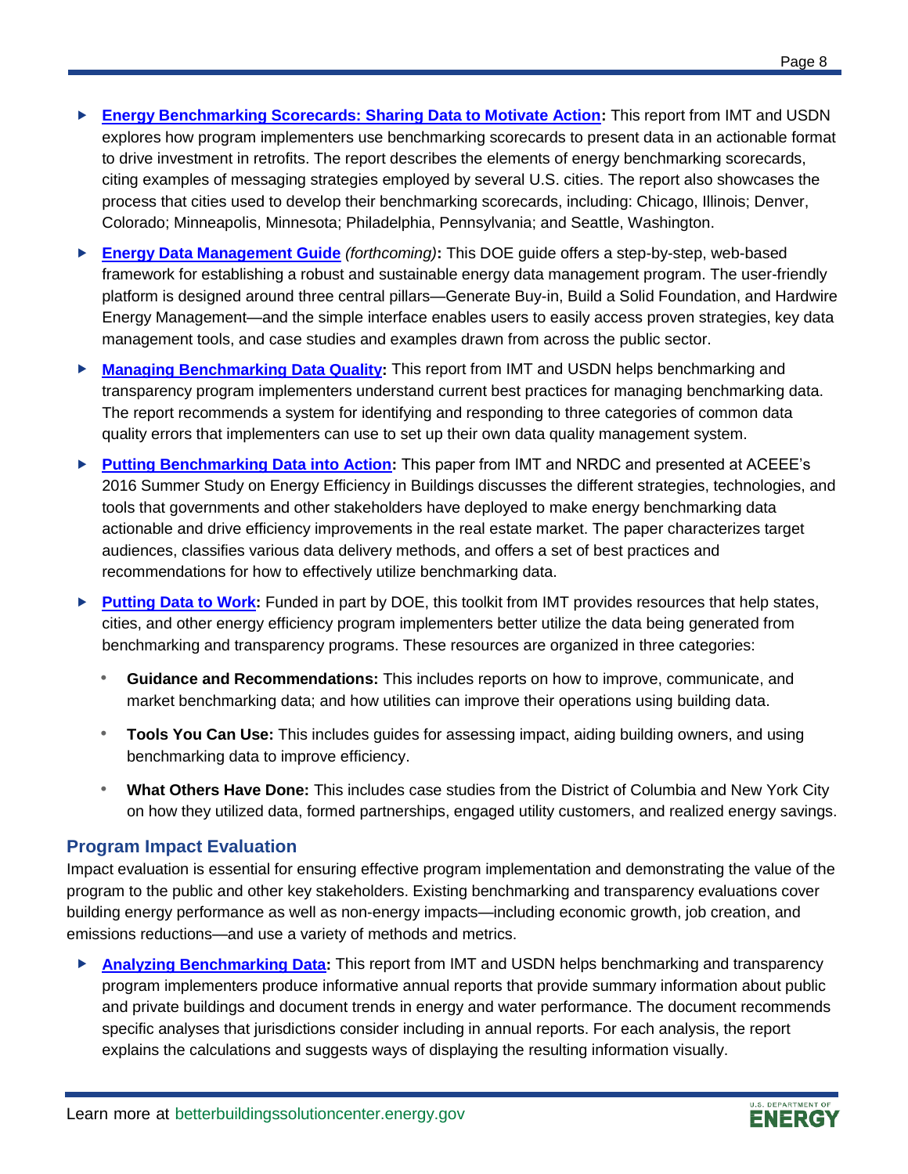- **[Energy Benchmarking Scorecards: Sharing Data to Motivate Action:](https://www.energy.gov/eere/slsc/downloads/sharing-data-motivate-action)** This report from IMT and USDN explores how program implementers use benchmarking scorecards to present data in an actionable format to drive investment in retrofits. The report describes the elements of energy benchmarking scorecards, citing examples of messaging strategies employed by several U.S. cities. The report also showcases the process that cities used to develop their benchmarking scorecards, including: Chicago, Illinois; Denver, Colorado; Minneapolis, Minnesota; Philadelphia, Pennsylvania; and Seattle, Washington.
- **[Energy Data Management Guide](https://www.energy.gov/eere/slsc/downloads/energy-data-management-guide-fact-sheet)** *(forthcoming)***:** This DOE guide offers a step-by-step, web-based framework for establishing a robust and sustainable energy data management program. The user-friendly platform is designed around three central pillars—Generate Buy-in, Build a Solid Foundation, and Hardwire Energy Management—and the simple interface enables users to easily access proven strategies, key data management tools, and case studies and examples drawn from across the public sector.
- **[Managing Benchmarking Data Quality:](https://www.energy.gov/eere/slsc/downloads/managing-benchmarking-data-quality)** This report from IMT and USDN helps benchmarking and transparency program implementers understand current best practices for managing benchmarking data. The report recommends a system for identifying and responding to three categories of common data quality errors that implementers can use to set up their own data quality management system.
- **[Putting Benchmarking Data into Action:](http://aceee.org/files/proceedings/2016/data/papers/7_973.pdf)** This paper from IMT and NRDC and presented at ACEEE's 2016 Summer Study on Energy Efficiency in Buildings discusses the different strategies, technologies, and tools that governments and other stakeholders have deployed to make energy benchmarking data actionable and drive efficiency improvements in the real estate market. The paper characterizes target audiences, classifies various data delivery methods, and offers a set of best practices and recommendations for how to effectively utilize benchmarking data.
- **[Putting Data to Work:](http://www.imt.org/PuttingDatatoWork)** Funded in part by DOE, this toolkit from IMT provides resources that help states, cities, and other energy efficiency program implementers better utilize the data being generated from benchmarking and transparency programs. These resources are organized in three categories:
	- **Guidance and Recommendations:** This includes reports on how to improve, communicate, and market benchmarking data; and how utilities can improve their operations using building data.
	- **Tools You Can Use:** This includes guides for assessing impact, aiding building owners, and using benchmarking data to improve efficiency.
	- **What Others Have Done:** This includes case studies from the District of Columbia and New York City on how they utilized data, formed partnerships, engaged utility customers, and realized energy savings.

### **Program Impact Evaluation**

Impact evaluation is essential for ensuring effective program implementation and demonstrating the value of the program to the public and other key stakeholders. Existing benchmarking and transparency evaluations cover building energy performance as well as non-energy impacts—including economic growth, job creation, and emissions reductions—and use a variety of methods and metrics.

 **[Analyzing Benchmarking Data:](https://www.energy.gov/eere/slsc/downloads/analyzing-benchmarking-data)** This report from IMT and USDN helps benchmarking and transparency program implementers produce informative annual reports that provide summary information about public and private buildings and document trends in energy and water performance. The document recommends specific analyses that jurisdictions consider including in annual reports. For each analysis, the report explains the calculations and suggests ways of displaying the resulting information visually.

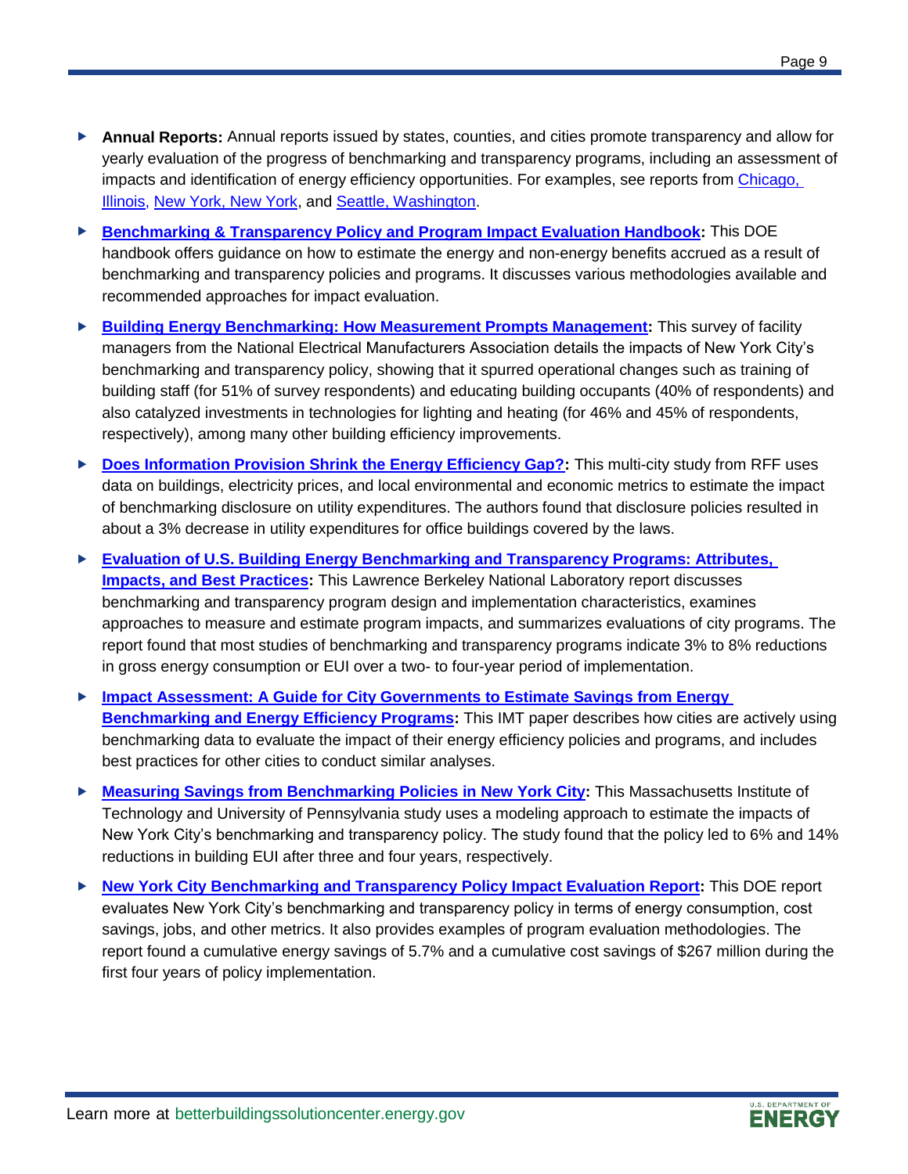- **Annual Reports:** Annual reports issued by states, counties, and cities promote transparency and allow for yearly evaluation of the progress of benchmarking and transparency programs, including an assessment of impacts and identification of energy efficiency opportunities. For examples, see reports fro[m Chicago,](https://www.energy.gov/eere/slsc/downloads/2017-chicago-energy-benchmarking-report)  [Illinois,](https://www.energy.gov/eere/slsc/downloads/2017-chicago-energy-benchmarking-report) [New York, New York,](https://www.energy.gov/eere/slsc/downloads/new-york-city-s-energy-and-water-use-2014-and-2015-report) and [Seattle, Washington.](https://www.energy.gov/eere/slsc/downloads/seattle-energy-benchmarking-analysis-report)
- **[Benchmarking & Transparency Policy and Program Impact Evaluation Handbook:](https://energy.gov/eere/slsc/downloads/benchmarking-and-transparency-policy-and-program-impact-evaluation-handbook)** This DOE handbook offers guidance on how to estimate the energy and non-energy benefits accrued as a result of benchmarking and transparency policies and programs. It discusses various methodologies available and recommended approaches for impact evaluation.
- **[Building Energy Benchmarking: How Measurement Prompts Management:](https://www.nema.org/Technical/HPB/Documents/Building%20Energy%20Benchmarking%20How%20Measurement%20Prompts%20Management.pdf)** This survey of facility managers from the National Electrical Manufacturers Association details the impacts of New York City's benchmarking and transparency policy, showing that it spurred operational changes such as training of building staff (for 51% of survey respondents) and educating building occupants (40% of respondents) and also catalyzed investments in technologies for lighting and heating (for 46% and 45% of respondents, respectively), among many other building efficiency improvements.
- ▶ **[Does Information Provision Shrink the Energy Efficiency Gap?:](http://www.rff.org/files/sharepoint/WorkImages/Download/RFF-DP-15-12.pdf)** This multi-city study from RFF uses data on buildings, electricity prices, and local environmental and economic metrics to estimate the impact of benchmarking disclosure on utility expenditures. The authors found that disclosure policies resulted in about a 3% decrease in utility expenditures for office buildings covered by the laws.
- **[Evaluation of U.S. Building Energy Benchmarking and Transparency Programs: Attributes,](https://www.energy.gov/eere/slsc/downloads/evaluation-us-building-energy-benchmarking-and-transparency-programs-attributes)  [Impacts, and Best Practices:](https://www.energy.gov/eere/slsc/downloads/evaluation-us-building-energy-benchmarking-and-transparency-programs-attributes)** This Lawrence Berkeley National Laboratory report discusses benchmarking and transparency program design and implementation characteristics, examines approaches to measure and estimate program impacts, and summarizes evaluations of city programs. The report found that most studies of benchmarking and transparency programs indicate 3% to 8% reductions in gross energy consumption or EUI over a two- to four-year period of implementation.
- **[Impact Assessment: A Guide for City Governments to Estimate Savings from Energy](https://www.energy.gov/eere/slsc/downloads/impact-assessment-guide-city-governments-estimate-savings-energy-benchmarking)  [Benchmarking and Energy Efficiency Programs:](https://www.energy.gov/eere/slsc/downloads/impact-assessment-guide-city-governments-estimate-savings-energy-benchmarking)** This IMT paper describes how cities are actively using benchmarking data to evaluate the impact of their energy efficiency policies and programs, and includes best practices for other cities to conduct similar analyses.
- **[Measuring Savings from Benchmarking Policies in New York City:](https://www.energy.gov/eere/slsc/downloads/measuring-energy-savings-benchmarking-policies-new-york-city)** This Massachusetts Institute of Technology and University of Pennsylvania study uses a modeling approach to estimate the impacts of New York City's benchmarking and transparency policy. The study found that the policy led to 6% and 14% reductions in building EUI after three and four years, respectively.
- **[New York City Benchmarking and Transparency Policy Impact Evaluation Report:](https://energy.gov/eere/slsc/downloads/new-york-city-benchmarking-and-transparency-policy-impact-evaluation-report)** This DOE report evaluates New York City's benchmarking and transparency policy in terms of energy consumption, cost savings, jobs, and other metrics. It also provides examples of program evaluation methodologies. The report found a cumulative energy savings of 5.7% and a cumulative cost savings of \$267 million during the first four years of policy implementation.